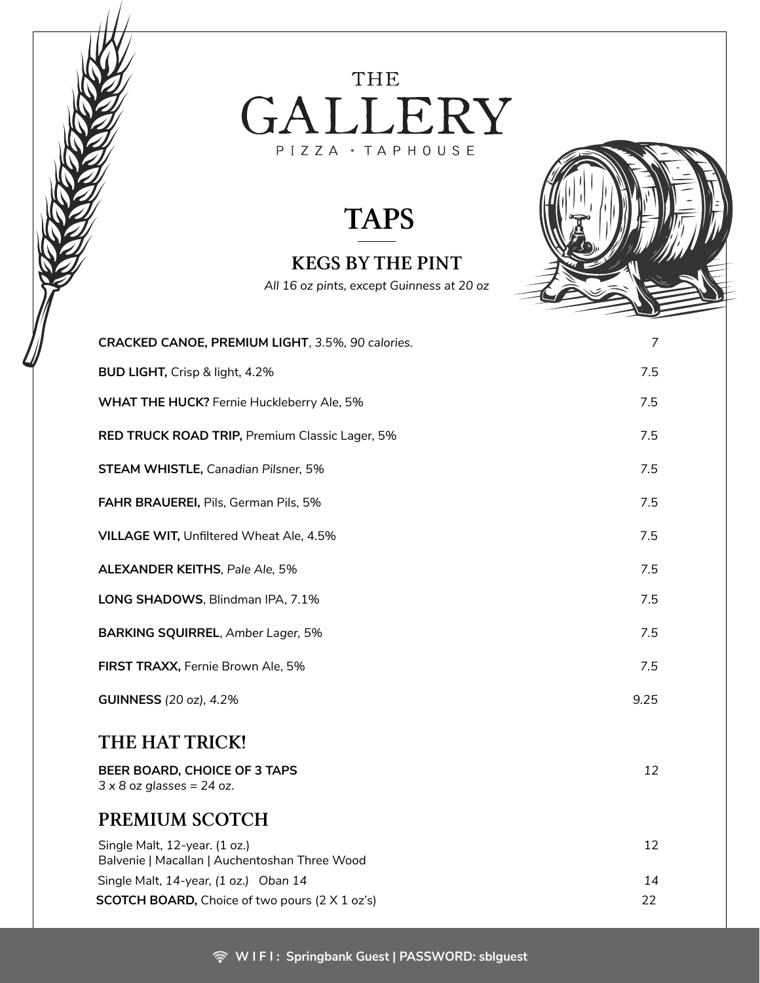#### THE GALLERY PIZZA · TAPHOUSE

#### TAPS

#### KEGS BY THE PINT

*All 16 oz pints, except Guinness at 20 oz*



| CRACKED CANOE, PREMIUM LIGHT, 3.5%, 90 calories.                               | 7    |
|--------------------------------------------------------------------------------|------|
| BUD LIGHT, Crisp & light, 4.2%                                                 | 7.5  |
| WHAT THE HUCK? Fernie Huckleberry Ale, 5%                                      | 7.5  |
| RED TRUCK ROAD TRIP, Premium Classic Lager, 5%                                 | 7.5  |
| STEAM WHISTLE, Canadian Pilsner, 5%                                            | 7.5  |
| FAHR BRAUEREI, Pils, German Pils, 5%                                           | 7.5  |
| <b>VILLAGE WIT, Unfiltered Wheat Ale, 4.5%</b>                                 | 7.5  |
| <b>ALEXANDER KEITHS, Pale Ale, 5%</b>                                          | 7.5  |
| LONG SHADOWS, Blindman IPA, 7.1%                                               | 7.5  |
| <b>BARKING SQUIRREL, Amber Lager, 5%</b>                                       | 7.5  |
| FIRST TRAXX, Fernie Brown Ale, 5%                                              | 7.5  |
| <b>GUINNESS</b> (20 oz), 4.2%                                                  | 9.25 |
| THE HAT TRICK!                                                                 |      |
| BEER BOARD, CHOICE OF 3 TAPS<br>$3 \times 8$ oz glasses = 24 oz.               | 12   |
| PREMIUM SCOTCH                                                                 |      |
| Single Malt, 12-year. (1 oz.)<br>Balvenie   Macallan   Auchentoshan Three Wood | 12   |
| Single Malt, 14-year, (1 oz.) Oban 14                                          | 14   |
| <b>SCOTCH BOARD, Choice of two pours (2 X 1 oz's)</b>                          | 22   |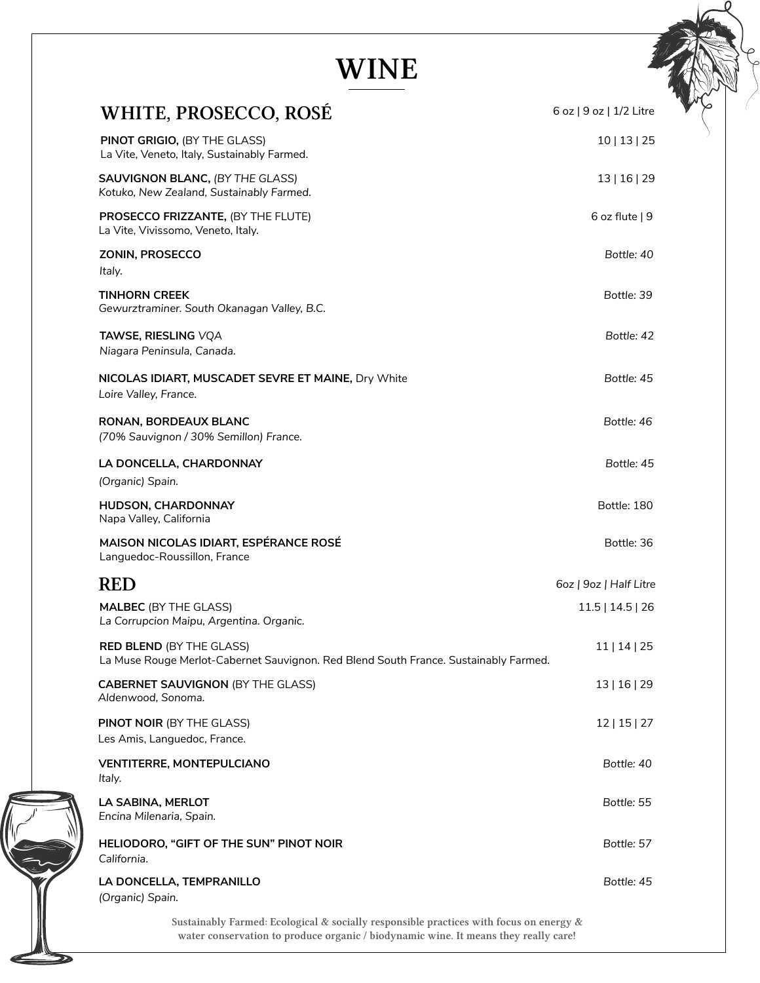### WINE

| <b>WHITE, PROSECCO, ROSE</b>                                                                                            | 6 oz   9 oz   1/2 Litre |
|-------------------------------------------------------------------------------------------------------------------------|-------------------------|
| PINOT GRIGIO, (BY THE GLASS)<br>La Vite, Veneto, Italy, Sustainably Farmed.                                             | 10   13   25            |
| <b>SAUVIGNON BLANC, (BY THE GLASS)</b><br>Kotuko, New Zealand, Sustainably Farmed.                                      | 13   16   29            |
| PROSECCO FRIZZANTE, (BY THE FLUTE)<br>La Vite, Vivissomo, Veneto, Italy.                                                | 6 oz flute $ 9$         |
| ZONIN, PROSECCO<br>Italy.                                                                                               | Bottle: 40              |
| <b>TINHORN CREEK</b><br>Gewurztraminer. South Okanagan Valley, B.C.                                                     | Bottle: 39              |
| TAWSE, RIESLING VQA<br>Niagara Peninsula, Canada.                                                                       | Bottle: 42              |
| NICOLAS IDIART, MUSCADET SEVRE ET MAINE, Dry White<br>Loire Valley, France.                                             | Bottle: 45              |
| RONAN, BORDEAUX BLANC<br>(70% Sauvignon / 30% Semillon) France.                                                         | Bottle: 46              |
| LA DONCELLA, CHARDONNAY<br>(Organic) Spain.                                                                             | Bottle: 45              |
| HUDSON, CHARDONNAY<br>Napa Valley, California                                                                           | Bottle: 180             |
| MAISON NICOLAS IDIART, ESPÉRANCE ROSÉ<br>Languedoc-Roussillon, France                                                   | Bottle: 36              |
| <b>RED</b>                                                                                                              | 6oz   9oz   Half Litre  |
| <b>MALBEC (BY THE GLASS)</b><br>La Corrupcion Maipu, Argentina. Organic.                                                | 11.5   14.5   26        |
| <b>RED BLEND (BY THE GLASS)</b><br>La Muse Rouge Merlot-Cabernet Sauvignon. Red Blend South France. Sustainably Farmed. | 11   14   25            |
| <b>CABERNET SAUVIGNON (BY THE GLASS)</b><br>Aldenwood, Sonoma.                                                          | 13   16   29            |
| <b>PINOT NOIR (BY THE GLASS)</b><br>Les Amis, Languedoc, France.                                                        | 12   15   27            |
| <b>VENTITERRE, MONTEPULCIANO</b><br>Italy.                                                                              | Bottle: 40              |
| LA SABINA, MERLOT<br>Encina Milenaria, Spain.                                                                           | Bottle: 55              |
| HELIODORO, "GIFT OF THE SUN" PINOT NOIR<br>California.                                                                  | Bottle: 57              |
| LA DONCELLA, TEMPRANILLO<br>(Organic) Spain.                                                                            | Bottle: 45              |
| Sustainably Farmed: Ecological & socially responsible practices with focus on energy &                                  |                         |

water conservation to produce organic / biodynamic wine. It means they really care!

 $\mathbf{\Sigma}$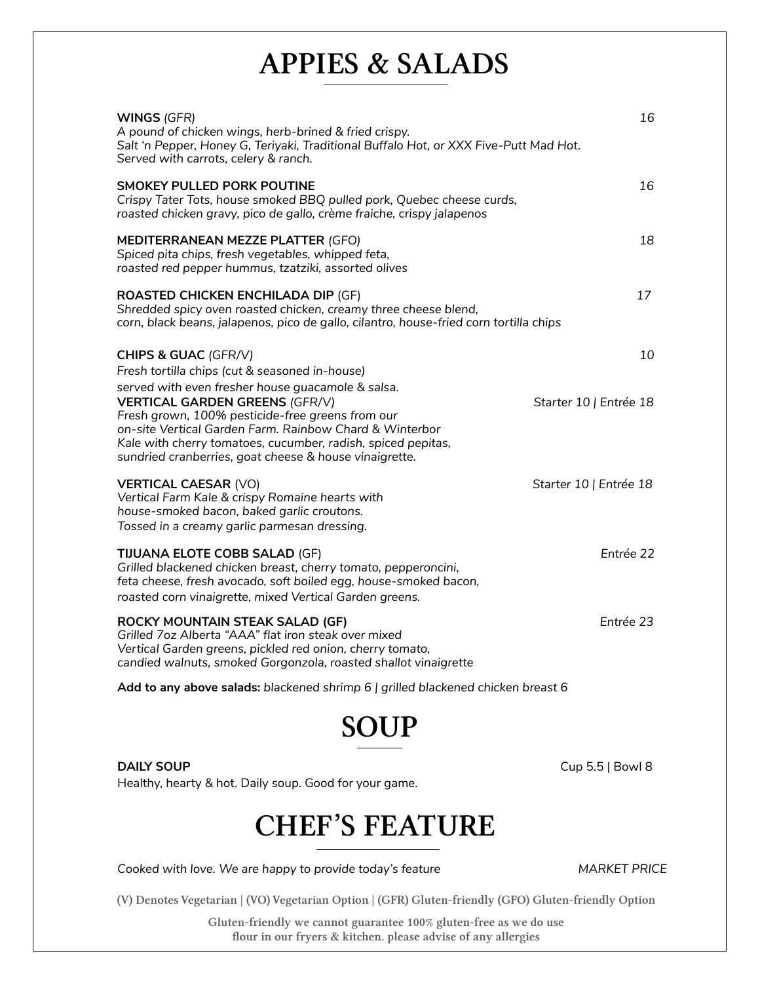#### APPIES & SALADS

| WINGS (GFR)<br>A pound of chicken wings, herb-brined & fried crispy.<br>Salt 'n Pepper, Honey G, Teriyaki, Traditional Buffalo Hot, or XXX Five-Putt Mad Hot.<br>Served with carrots, celery & ranch.                                                                          | 16                     |
|--------------------------------------------------------------------------------------------------------------------------------------------------------------------------------------------------------------------------------------------------------------------------------|------------------------|
| <b>SMOKEY PULLED PORK POUTINE</b><br>Crispy Tater Tots, house smoked BBQ pulled pork, Quebec cheese curds,<br>roasted chicken gravy, pico de gallo, crème fraiche, crispy jalapenos                                                                                            | 16                     |
| MEDITERRANEAN MEZZE PLATTER (GFO)<br>Spiced pita chips, fresh vegetables, whipped feta,<br>roasted red pepper hummus, tzatziki, assorted olives                                                                                                                                | 18                     |
| <b>ROASTED CHICKEN ENCHILADA DIP (GF)</b><br>Shredded spicy oven roasted chicken, creamy three cheese blend,<br>corn, black beans, jalapenos, pico de gallo, cilantro, house-fried corn tortilla chips                                                                         | 17                     |
| CHIPS & GUAC (GFR/V)<br>Fresh tortilla chips (cut & seasoned in-house)<br>served with even fresher house guacamole & salsa.                                                                                                                                                    | 10                     |
| <b>VERTICAL GARDEN GREENS (GFR/V)</b><br>Fresh grown, 100% pesticide-free greens from our<br>on-site Vertical Garden Farm. Rainbow Chard & Winterbor<br>Kale with cherry tomatoes, cucumber, radish, spiced pepitas,<br>sundried cranberries, goat cheese & house vinaigrette. | Starter 10   Entrée 18 |
| <b>VERTICAL CAESAR (VO)</b><br>Vertical Farm Kale & crispy Romaine hearts with<br>house-smoked bacon, baked garlic croutons.<br>Tossed in a creamy garlic parmesan dressing.                                                                                                   | Starter 10   Entrée 18 |
| <b>TIJUANA ELOTE COBB SALAD (GF)</b><br>Grilled blackened chicken breast, cherry tomato, pepperoncini,<br>feta cheese, fresh avocado, soft boiled egg, house-smoked bacon,<br>roasted corn vinaigrette, mixed Vertical Garden greens.                                          | Entrée 22              |
| ROCKY MOUNTAIN STEAK SALAD (GF)<br>Grilled 7oz Alberta "AAA" flat iron steak over mixed<br>Vertical Garden greens, pickled red onion, cherry tomato,<br>candied walnuts, smoked Gorgonzola, roasted shallot vinaigrette                                                        | Entrée 23              |
| Add to any above salads: blackened shrimp 6   grilled blackened chicken breast 6                                                                                                                                                                                               |                        |

### SOUP

**DAILY SOUP** Cup 5.5 | Bowl 8 Healthy, hearty & hot. Daily soup. Good for your game.

#### CHEF'S FEATURE

Cooked with love. We are happy to provide today's feature MARKET PRICE

(V) Denotes Vegetarian | (VO) Vegetarian Option | (GFR) Gluten-friendly (GFO) Gluten-friendly Option

Gluten-friendly we cannot guarantee 100% gluten-free as we do use flour in our fryers & kitchen. please advise of any allergies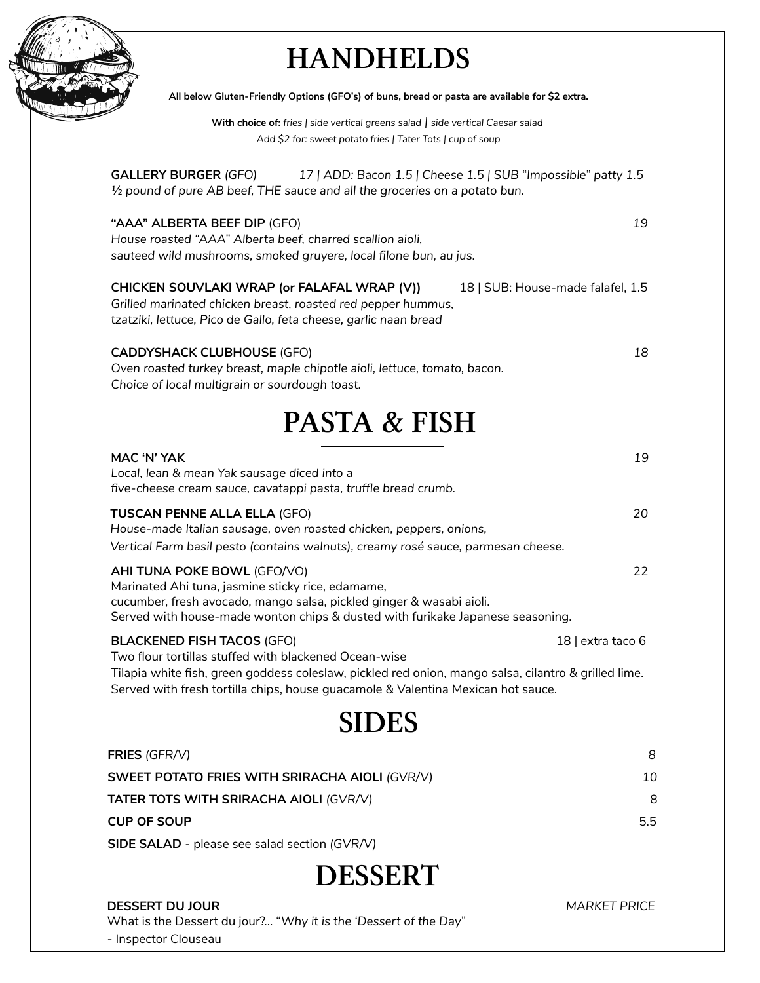

# **HANDHELDS**

| All below Gluten-Friendly Options (GFO's) of buns, bread or pasta are available for \$2 extra.                                                                                                                                                                                         |                   |
|----------------------------------------------------------------------------------------------------------------------------------------------------------------------------------------------------------------------------------------------------------------------------------------|-------------------|
| With choice of: fries   side vertical greens salad   side vertical Caesar salad<br>Add \$2 for: sweet potato fries   Tater Tots   cup of soup                                                                                                                                          |                   |
| <b>GALLERY BURGER (GFO)</b><br>17   ADD: Bacon 1.5   Cheese 1.5   SUB "Impossible" patty 1.5<br>1/2 pound of pure AB beef, THE sauce and all the groceries on a potato bun.                                                                                                            |                   |
| "AAA" ALBERTA BEEF DIP (GFO)<br>House roasted "AAA" Alberta beef, charred scallion aioli,<br>sauteed wild mushrooms, smoked gruyere, local filone bun, au jus.                                                                                                                         | 19                |
| CHICKEN SOUVLAKI WRAP (or FALAFAL WRAP (V))<br>18   SUB: House-made falafel, 1.5<br>Grilled marinated chicken breast, roasted red pepper hummus,<br>tzatziki, lettuce, Pico de Gallo, feta cheese, garlic naan bread                                                                   |                   |
| <b>CADDYSHACK CLUBHOUSE (GFO)</b><br>Oven roasted turkey breast, maple chipotle aioli, lettuce, tomato, bacon.<br>Choice of local multigrain or sourdough toast.                                                                                                                       | 18                |
| <b>PASTA &amp; FISH</b>                                                                                                                                                                                                                                                                |                   |
| MAC 'N' YAK<br>Local, lean & mean Yak sausage diced into a<br>five-cheese cream sauce, cavatappi pasta, truffle bread crumb.                                                                                                                                                           | 19                |
| <b>TUSCAN PENNE ALLA ELLA (GFO)</b><br>House-made Italian sausage, oven roasted chicken, peppers, onions,<br>Vertical Farm basil pesto (contains walnuts), creamy rosé sauce, parmesan cheese.                                                                                         | 20                |
| AHI TUNA POKE BOWL (GFO/VO)<br>Marinated Ahi tuna, jasmine sticky rice, edamame,<br>cucumber, fresh avocado, mango salsa, pickled ginger & wasabi aioli.<br>Served with house-made wonton chips & dusted with furikake Japanese seasoning.                                             | 22                |
| <b>BLACKENED FISH TACOS (GFO)</b><br>Two flour tortillas stuffed with blackened Ocean-wise<br>Tilapia white fish, green goddess coleslaw, pickled red onion, mango salsa, cilantro & grilled lime.<br>Served with fresh tortilla chips, house guacamole & Valentina Mexican hot sauce. | 18   extra taco 6 |
| <b>SIDES</b>                                                                                                                                                                                                                                                                           |                   |
| FRIES (GFR/V)                                                                                                                                                                                                                                                                          | 8                 |
| SWEET POTATO FRIES WITH SRIRACHA AIOLI (GVR/V)                                                                                                                                                                                                                                         | 10                |
| TATER TOTS WITH SRIRACHA AIOLI (GVR/V)                                                                                                                                                                                                                                                 | 8                 |
| <b>CUP OF SOUP</b>                                                                                                                                                                                                                                                                     | 5.5               |

**SIDE SALAD** - please see salad section *(GVR/V)*

DESSERT

#### **DESSERT DU JOUR** *MARKET PRICE*

What is the Dessert du jour?... "*Why it is the 'Dessert of the Day*" - Inspector Clouseau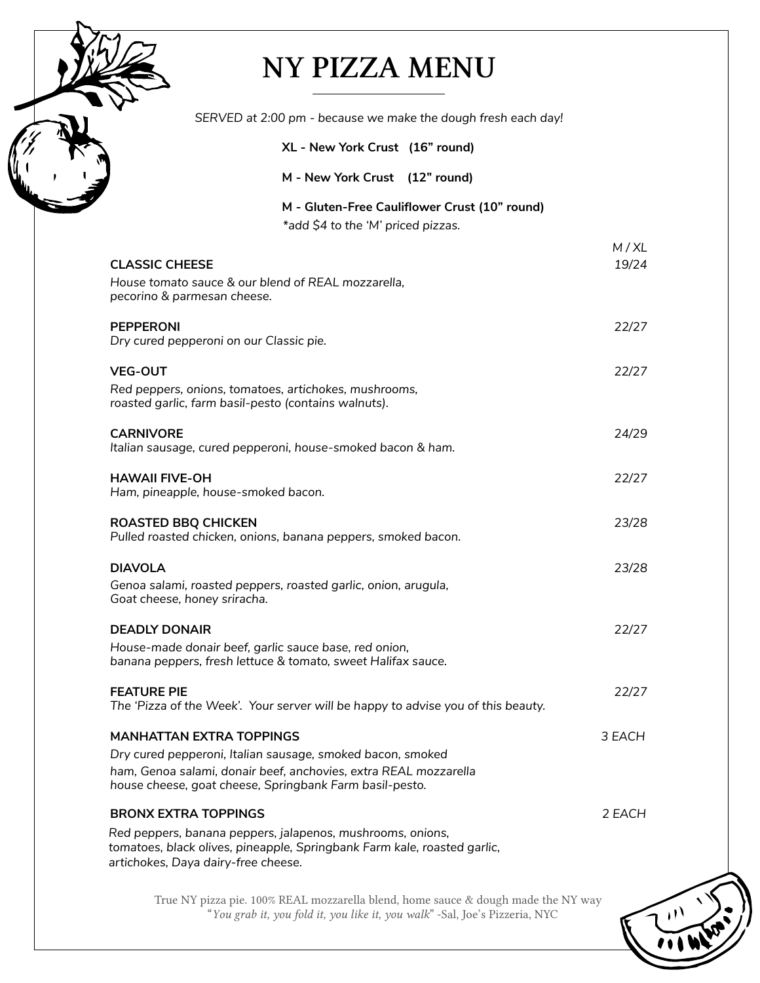### NY PIZZA MENU

| SERVED at 2:00 pm - because we make the dough fresh each day!                                                                                                                                                                |               |
|------------------------------------------------------------------------------------------------------------------------------------------------------------------------------------------------------------------------------|---------------|
| XL - New York Crust (16" round)                                                                                                                                                                                              |               |
| M - New York Crust (12" round)                                                                                                                                                                                               |               |
| M - Gluten-Free Cauliflower Crust (10" round)<br>*add \$4 to the 'M' priced pizzas.                                                                                                                                          |               |
| <b>CLASSIC CHEESE</b><br>House tomato sauce & our blend of REAL mozzarella,                                                                                                                                                  | M/XL<br>19/24 |
| pecorino & parmesan cheese.                                                                                                                                                                                                  |               |
| <b>PEPPERONI</b><br>Dry cured pepperoni on our Classic pie.                                                                                                                                                                  | 22/27         |
| <b>VEG-OUT</b><br>Red peppers, onions, tomatoes, artichokes, mushrooms,<br>roasted garlic, farm basil-pesto (contains walnuts).                                                                                              | 22/27         |
| <b>CARNIVORE</b><br>Italian sausage, cured pepperoni, house-smoked bacon & ham.                                                                                                                                              | 24/29         |
| <b>HAWAII FIVE-OH</b><br>Ham, pineapple, house-smoked bacon.                                                                                                                                                                 | 22/27         |
| <b>ROASTED BBQ CHICKEN</b><br>Pulled roasted chicken, onions, banana peppers, smoked bacon.                                                                                                                                  | 23/28         |
| <b>DIAVOLA</b><br>Genoa salami, roasted peppers, roasted garlic, onion, arugula,<br>Goat cheese, honey sriracha.                                                                                                             | 23/28         |
| <b>DEADLY DONAIR</b><br>House-made donair beef, garlic sauce base, red onion,<br>banana peppers, fresh lettuce & tomato, sweet Halifax sauce.                                                                                | 22/27         |
| <b>FEATURE PIE</b><br>The 'Pizza of the Week'. Your server will be happy to advise you of this beauty.                                                                                                                       | 22/27         |
| <b>MANHATTAN EXTRA TOPPINGS</b><br>Dry cured pepperoni, Italian sausage, smoked bacon, smoked<br>ham, Genoa salami, donair beef, anchovies, extra REAL mozzarella<br>house cheese, goat cheese, Springbank Farm basil-pesto. | 3 EACH        |
| <b>BRONX EXTRA TOPPINGS</b>                                                                                                                                                                                                  | 2 EACH        |
| Red peppers, banana peppers, jalapenos, mushrooms, onions,<br>tomatoes, black olives, pineapple, Springbank Farm kale, roasted garlic,<br>artichokes, Daya dairy-free cheese.                                                |               |
|                                                                                                                                                                                                                              |               |

True NY pizza pie. 100% REAL mozzarella blend, home sauce & dough made the NY way "*You grab it, you fold it, you like it, you walk*" -Sal, Joe's Pizzeria, NYC

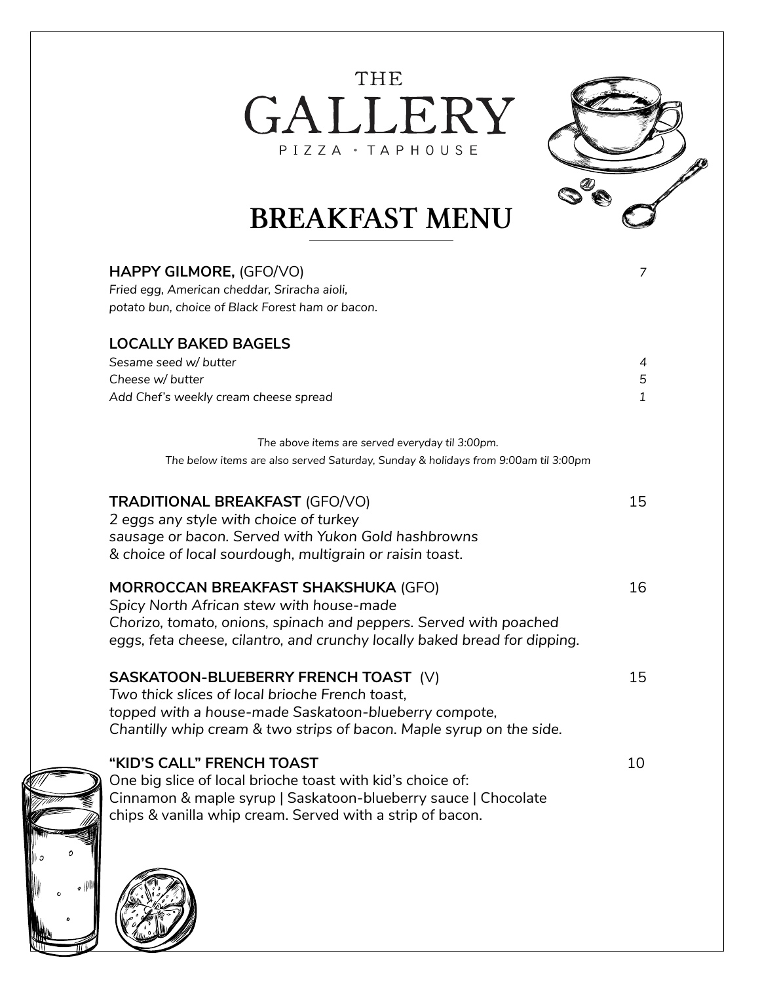THE GALLERY PIZZA · TAPHOUSE



## BREAKFAST MENU

| HAPPY GILMORE, (GFO/VO)                                                                                                                        | $\overline{7}$ |
|------------------------------------------------------------------------------------------------------------------------------------------------|----------------|
| Fried egg, American cheddar, Sriracha aioli,                                                                                                   |                |
| potato bun, choice of Black Forest ham or bacon.                                                                                               |                |
| <b>LOCALLY BAKED BAGELS</b>                                                                                                                    |                |
| Sesame seed w/ butter                                                                                                                          | 4              |
| Cheese w/ butter                                                                                                                               | 5              |
| Add Chef's weekly cream cheese spread                                                                                                          | $\mathbf{1}$   |
| The above items are served everyday til 3:00pm.                                                                                                |                |
| The below items are also served Saturday, Sunday & holidays from 9:00am til 3:00pm                                                             |                |
| <b>TRADITIONAL BREAKFAST (GFO/VO)</b><br>2 eggs any style with choice of turkey                                                                | 15             |
| sausage or bacon. Served with Yukon Gold hashbrowns<br>& choice of local sourdough, multigrain or raisin toast.                                |                |
|                                                                                                                                                |                |
| <b>MORROCCAN BREAKFAST SHAKSHUKA (GFO)</b>                                                                                                     | 16             |
| Spicy North African stew with house-made                                                                                                       |                |
| Chorizo, tomato, onions, spinach and peppers. Served with poached<br>eggs, feta cheese, cilantro, and crunchy locally baked bread for dipping. |                |
|                                                                                                                                                |                |
| SASKATOON-BLUEBERRY FRENCH TOAST (V)                                                                                                           | 15             |
| Two thick slices of local brioche French toast.                                                                                                |                |
| topped with a house-made Saskatoon-blueberry compote,<br>Chantilly whip cream & two strips of bacon. Maple syrup on the side.                  |                |
|                                                                                                                                                |                |
| "KID'S CALL" FRENCH TOAST                                                                                                                      | 10             |
| One big slice of local brioche toast with kid's choice of:                                                                                     |                |
| Cinnamon & maple syrup   Saskatoon-blueberry sauce   Chocolate                                                                                 |                |
| chips & vanilla whip cream. Served with a strip of bacon.                                                                                      |                |
|                                                                                                                                                |                |
|                                                                                                                                                |                |
|                                                                                                                                                |                |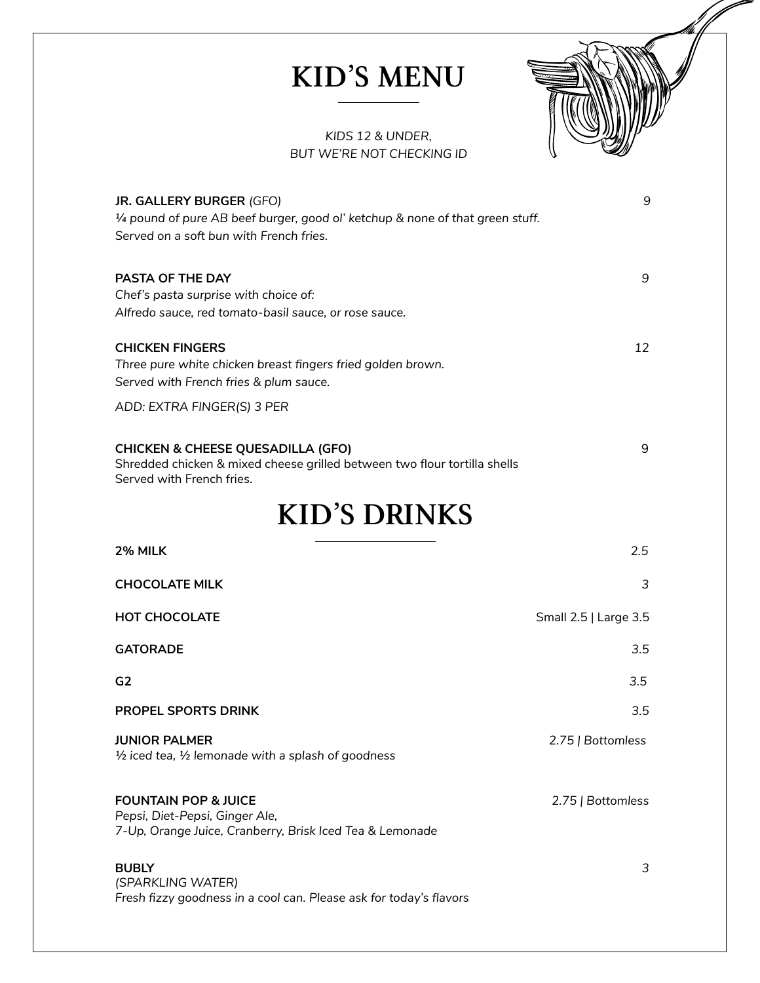## KID'S MENU



#### *KIDS 12 & UNDER, BUT WE'RE NOT CHECKING ID*

| JR. GALLERY BURGER (GFO)                                                                                                  | 9                     |
|---------------------------------------------------------------------------------------------------------------------------|-----------------------|
| 1/4 pound of pure AB beef burger, good ol' ketchup & none of that green stuff.                                            |                       |
| Served on a soft bun with French fries.                                                                                   |                       |
| PASTA OF THE DAY                                                                                                          | 9                     |
| Chef's pasta surprise with choice of:                                                                                     |                       |
| Alfredo sauce, red tomato-basil sauce, or rose sauce.                                                                     |                       |
|                                                                                                                           |                       |
| <b>CHICKEN FINGERS</b>                                                                                                    | 12                    |
| Three pure white chicken breast fingers fried golden brown.                                                               |                       |
| Served with French fries & plum sauce.                                                                                    |                       |
| ADD: EXTRA FINGER(S) 3 PER                                                                                                |                       |
|                                                                                                                           |                       |
| <b>CHICKEN &amp; CHEESE QUESADILLA (GFO)</b><br>Shredded chicken & mixed cheese grilled between two flour tortilla shells | 9                     |
| Served with French fries.                                                                                                 |                       |
|                                                                                                                           |                       |
| <b>KID'S DRINKS</b>                                                                                                       |                       |
| 2% MILK                                                                                                                   | 2.5                   |
| <b>CHOCOLATE MILK</b>                                                                                                     | 3                     |
| <b>HOT CHOCOLATE</b>                                                                                                      | Small 2.5   Large 3.5 |
| <b>GATORADE</b>                                                                                                           | 3.5                   |
| G <sub>2</sub>                                                                                                            | 3.5                   |
| <b>PROPEL SPORTS DRINK</b>                                                                                                | 3.5                   |
| <b>JUNIOR PALMER</b>                                                                                                      | 2.75   Bottomless     |
| $\frac{1}{2}$ iced tea, $\frac{1}{2}$ lemonade with a splash of goodness                                                  |                       |
| <b>FOUNTAIN POP &amp; JUICE</b>                                                                                           |                       |
| Pepsi, Diet-Pepsi, Ginger Ale,                                                                                            | 2.75   Bottomless     |
| 7-Up, Orange Juice, Cranberry, Brisk Iced Tea & Lemonade                                                                  |                       |
| <b>BUBLY</b>                                                                                                              | 3                     |
| (SPARKLING WATER)                                                                                                         |                       |
| Fresh fizzy goodness in a cool can. Please ask for today's flavors                                                        |                       |
|                                                                                                                           |                       |